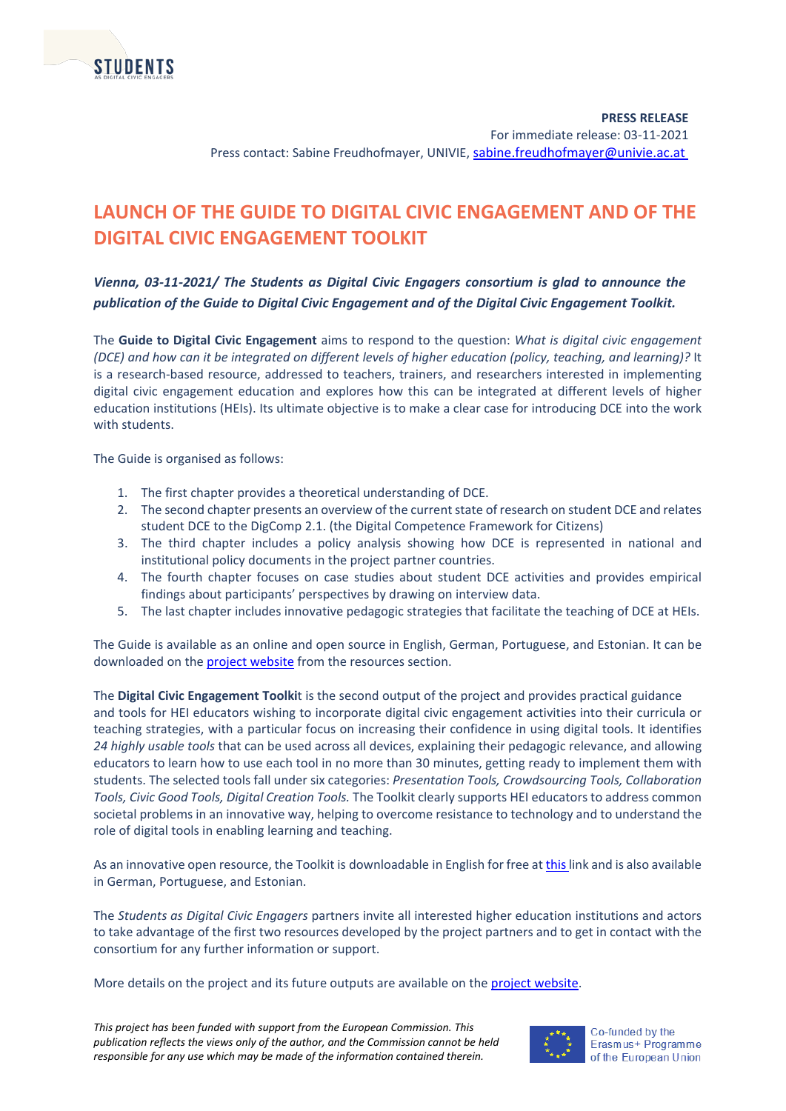

**PRESS RELEASE** For immediate release: 03-11-2021 Press contact: Sabine Freudhofmayer, UNIVIE, [sabine.freudhofmayer@univie.ac.at](mailto:sabine.freudhofmayer@univie.ac.at)

### **LAUNCH OF THE GUIDE TO DIGITAL CIVIC ENGAGEMENT AND OF THE DIGITAL CIVIC ENGAGEMENT TOOLKIT**

*Vienna, 03-11-2021/ The Students as Digital Civic Engagers consortium is glad to announce the publication of the Guide to Digital Civic Engagement and of the Digital Civic Engagement Toolkit.*

The **Guide to Digital Civic Engagement** aims to respond to the question: *What is digital civic engagement (DCE) and how can it be integrated on different levels of higher education (policy, teaching, and learning)?* It is a research-based resource, addressed to teachers, trainers, and researchers interested in implementing digital civic engagement education and explores how this can be integrated at different levels of higher education institutions (HEIs). Its ultimate objective is to make a clear case for introducing DCE into the work with students.

The Guide is organised as follows:

- 1. The first chapter provides a theoretical understanding of DCE.
- 2. The second chapter presents an overview of the current state of research on student DCE and relates student DCE to the DigComp 2.1. (the Digital Competence Framework for Citizens)
- 3. The third chapter includes a policy analysis showing how DCE is represented in national and institutional policy documents in the project partner countries.
- 4. The fourth chapter focuses on case studies about student DCE activities and provides empirical findings about participants' perspectives by drawing on interview data.
- 5. The last chapter includes innovative pedagogic strategies that facilitate the teaching of DCE at HEIs.

The Guide is available as an online and open source in English, German, Portuguese, and Estonian. It can be downloaded on the **project website** from the resources section.

The **Digital Civic Engagement Toolki**t is the second output of the project and provides practical guidance and tools for HEI educators wishing to incorporate digital civic engagement activities into their curricula or teaching strategies, with a particular focus on increasing their confidence in using digital tools. It identifies *24 highly usable tools* that can be used across all devices, explaining their pedagogic relevance, and allowing educators to learn how to use each tool in no more than 30 minutes, getting ready to implement them with students. The selected tools fall under six categories: *Presentation Tools, Crowdsourcing Tools, Collaboration Tools, Civic Good Tools, Digital Creation Tools.* The Toolkit clearly supports HEI educators to address common societal problems in an innovative way, helping to overcome resistance to technology and to understand the role of digital tools in enabling learning and teaching.

As an innovative open resource, the Toolkit is downloadable in English for free a[t this l](https://www.studentcivicengagers.eu/toolkit-en/)ink and is also available in German, Portuguese, and Estonian.

The *Students as Digital Civic Engagers* partners invite all interested higher education institutions and actors to take advantage of the first two resources developed by the project partners and to get in contact with the consortium for any further information or support.

More details on the project and its future outputs are available on the [project website.](https://www.studentcivicengagers.eu/) 

*This project has been funded with support from the European Commission. This publication reflects the views only of the author, and the Commission cannot be held responsible for any use which may be made of the information contained therein.*



Co-funded by the Erasmus+ Programme of the European Union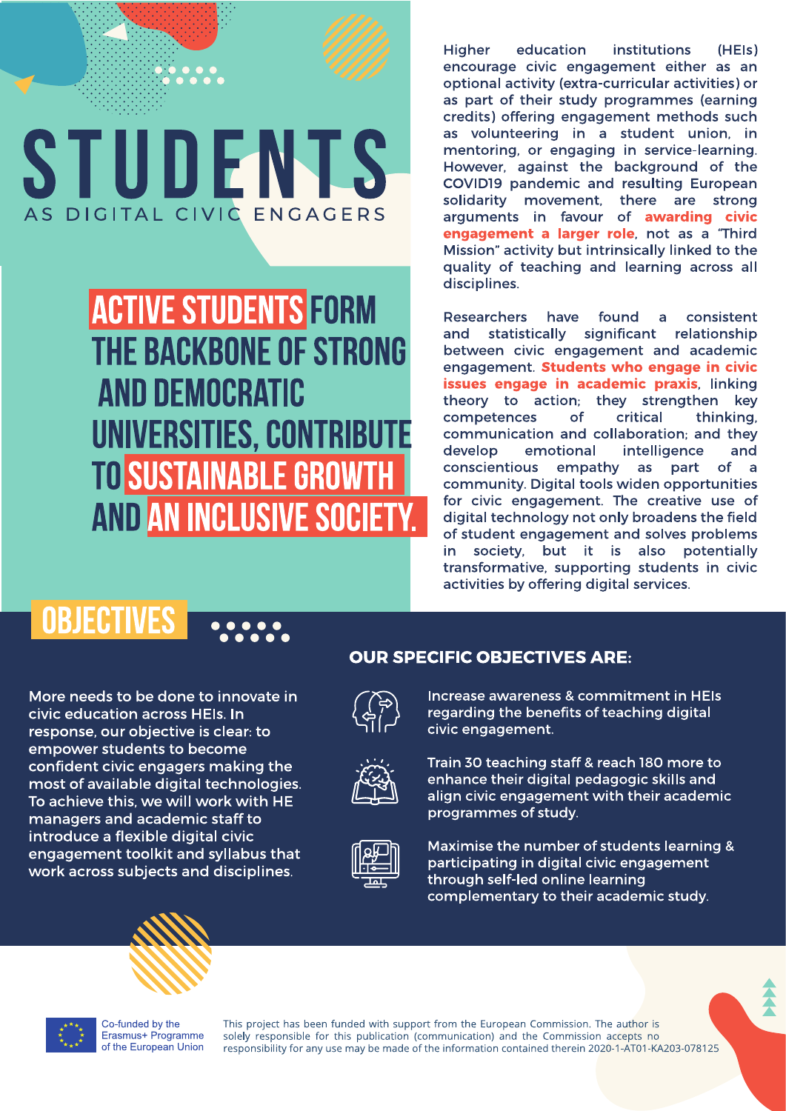

**ACTIVE STUDENTS FORM THE BACKBONE OF STRONG AND DEMOCRATIC UNIVERSITIES, CONTRIBUTE TO SUSTAINABLE GROWTH AND AN INCLUSIVE SOCIETY.**  **Higher** education *institutions*  $(HF(s))$ encourage civic engagement either as an optional activity (extra-curricular activities) or as part of their study programmes (earning credits) offering engagement methods such as volunteering in a student union, in mentoring, or engaging in service-learning. However, against the background of the COVID19 pandemic and resulting European solidarity movement, there are strong arguments in favour of awarding civic engagement a larger role, not as a "Third Mission" activity but intrinsically linked to the quality of teaching and learning across all disciplines.

Researchers have found a consistent and statistically significant relationship between civic engagement and academic engagement. Students who engage in civic issues engage in academic praxis, linking theory to action; they strengthen key competences of critical thinking. communication and collaboration: and they intelligence develop emotional and conscientious empathy as part of a community. Digital tools widen opportunities for civic engagement. The creative use of digital technology not only broadens the field of student engagement and solves problems in society, but it is also potentially transformative, supporting students in civic activities by offering digital services.

### **OBJECTIVES**

More needs to be done to innovate in

civic education across HEIs. In response, our objective is clear: to empower students to become confident civic engagers making the most of available digital technologies. To achieve this, we will work with HE managers and academic staff to introduce a flexible digital civic engagement toolkit and syllabus that work across subjects and disciplines.

### **OUR SPECIFIC OBJECTIVES ARE:**



Increase awareness & commitment in HEIs regarding the benefits of teaching digital civic engagement.



Train 30 teaching staff & reach 180 more to enhance their digital pedagogic skills and align civic engagement with their academic programmes of study.



Maximise the number of students learning & participating in digital civic engagement through self-led online learning complementary to their academic study.



Co-funded by the Erasmus+ Programme of the European Union

This project has been funded with support from the European Commission. The author is solely responsible for this publication (communication) and the Commission accepts no responsibility for any use may be made of the information contained therein 2020-1-AT01-KA203-078125